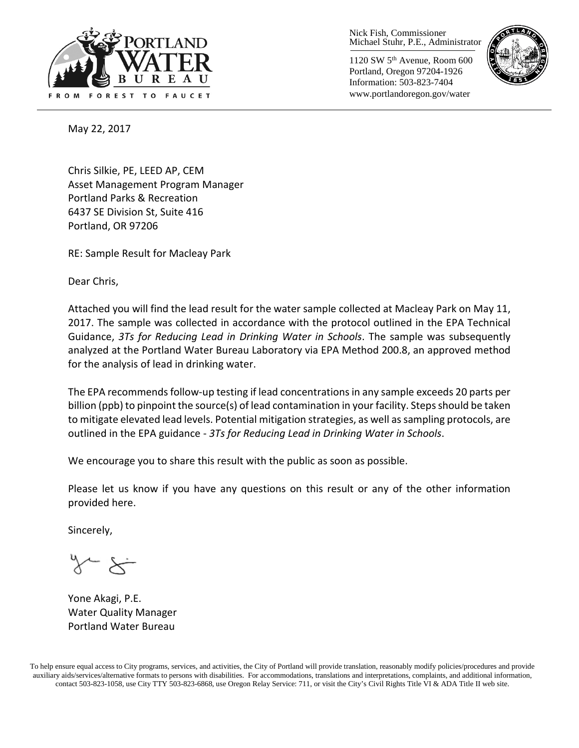

Nick Fish, Commissioner Michael Stuhr, P.E., Administrator

1120 SW 5th Avenue, Room 600 Portland, Oregon 97204-1926 Information: 503-823-7404 www.portlandoregon.gov/water



May 22, 2017

Chris Silkie, PE, LEED AP, CEM Asset Management Program Manager Portland Parks & Recreation 6437 SE Division St, Suite 416 Portland, OR 97206

RE: Sample Result for Macleay Park

Dear Chris,

Attached you will find the lead result for the water sample collected at Macleay Park on May 11, 2017. The sample was collected in accordance with the protocol outlined in the EPA Technical Guidance, *3Ts for Reducing Lead in Drinking Water in Schools*. The sample was subsequently analyzed at the Portland Water Bureau Laboratory via EPA Method 200.8, an approved method for the analysis of lead in drinking water.

The EPA recommends follow-up testing if lead concentrations in any sample exceeds 20 parts per billion (ppb) to pinpoint the source(s) of lead contamination in your facility. Steps should be taken to mitigate elevated lead levels. Potential mitigation strategies, as well as sampling protocols, are outlined in the EPA guidance - *3Ts for Reducing Lead in Drinking Water in Schools*.

We encourage you to share this result with the public as soon as possible.

Please let us know if you have any questions on this result or any of the other information provided here.

Sincerely,

Yone Akagi, P.E. Water Quality Manager Portland Water Bureau

To help ensure equal access to City programs, services, and activities, the City of Portland will provide translation, reasonably modify policies/procedures and provide auxiliary aids/services/alternative formats to persons with disabilities. For accommodations, translations and interpretations, complaints, and additional information, contact 503-823-1058, use City TTY 503-823-6868, use Oregon Relay Service: 711, or visi[t the City's Civil Rights Title VI & ADA Title II web site.](http://www.portlandoregon.gov/oehr/66458)